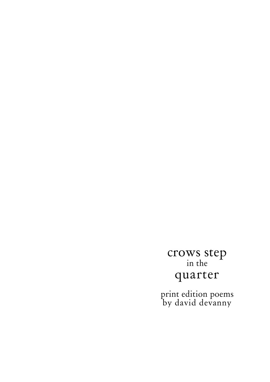# crows step in the quarter

print edition poems by david devanny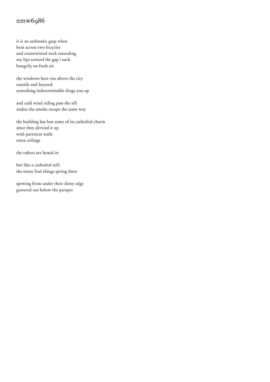# nmw6986

it is an asthmatic gasp when bent across two bicycles and cranetwisted neck extending my lips toward the gap i suck hungrily on fresh air

the windows here rise above the city outside and beyond: something indeterminable drags you up

and cold wind riding past the sill makes the smoke escape the same way

the building has lost some of its cathedral charm since they divvied it up with partition walls extra ceilings

the rafters are boxed in

but like a cathedral still the many foul things spring there

spewing from under their slimy edge guttered out below the parapet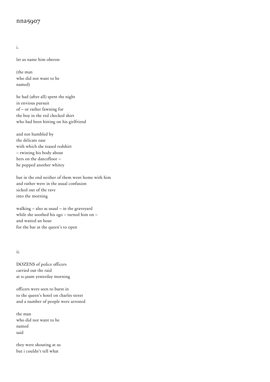#### nna5907

i.

let us name him oberon

(the man who did not want to be named)

he had (after all) spent the night in envious pursuit of – or rather fawning for the boy in the red checked shirt who had been hitting on his girlfriend

and not humbled by the delicate ease with which she teased redshirt – twisting his body about hers on the dancefloor – he popped another whitey

but in the end neither of them went home with him and rather were in the usual confusion sicked out of the rave into the morning

walking – also as usual – in the graveyard while she soothed his ego – turned him on – and waited an hour for the bar at the queen's to open

ii.

DOZENS of police officers carried out the raid at 11.30am yesterday morning

officers were seen to burst in to the queen's hotel on charles street and a number of people were arrested

the man who did not want to be named said

they were shouting at us but i couldn't tell what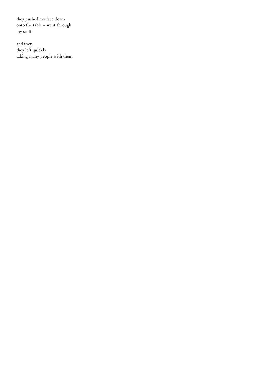they pushed my face down onto the table – went through my stuff

and then they left quickly taking many people with them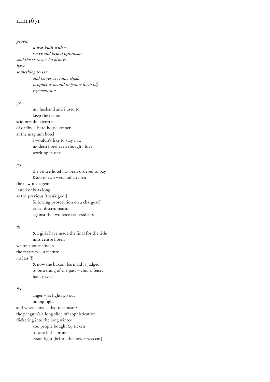### nmr<sub>1671</sub>

proem

 it was built with – suave and brutal optimism said the critics, who always have something to say and serves as iconic elijah prophet & herald to [some form of] regeneration

75

 my husband and i used to keep the teapot said mrs duckworth of oadby – head house keeper at the magnum hotel i wouldn't like to stay in a modern hotel even though i love working in one

#### 79

 the centre hotel has been ordered to pay £500 to two west indian men the new management lasted only as long as the previous [thank god!] following prosecution on a charge of racial discrimination against the two leicester residents

#### 82

 & 2 girls have made the final for the title miss centre hotels writes a journalist in the mercury – a feature no less [!] & now the buxom barmaid is judged to be a thing of the past – chic & feisty has arrived

#### 89

 anger – as lights go out on big fight and where now is that optimism? the penguin's a long slide off sophistication flickering into the long winter 500 people bought £9 tickets to watch the bruno – tyson fight [before the power was cut]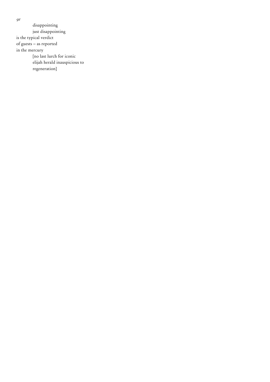disappointing just disappointing is the typical verdict of guests – as reported in the mercury [no last lurch for iconic elijah herald inauspicious to regeneration]

91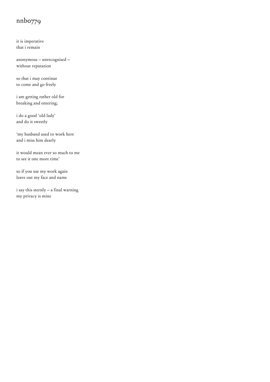# nnb0779

it is imperative that i remain

anonymous – unrecognised – without reputation

so that i may continue to come and go freely

i am getting rather old for breaking and entering;

i do a good 'old lady' and do it sweetly

'my husband used to work here and i miss him dearly

it would mean ever so much to me to see it one more time'

so if you use my work again leave out my face and name

i say this sternly – a final warning my privacy is mine